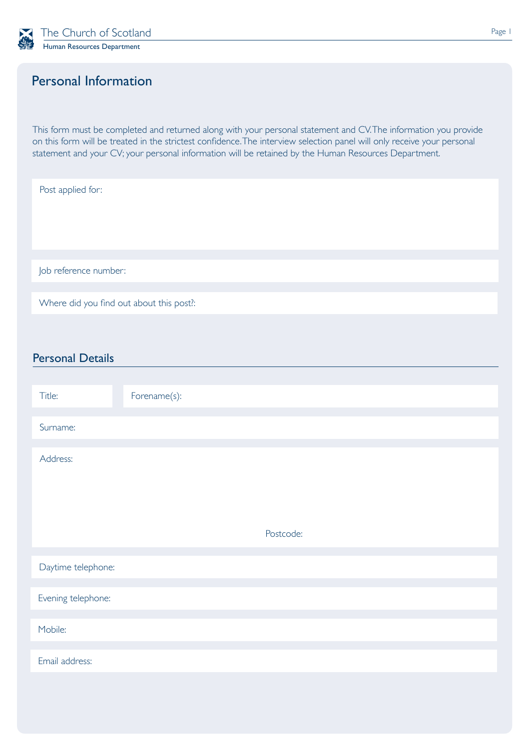

## Personal Information

This form must be completed and returned along with your personal statement and CV. The information you provide on this form will be treated in the strictest confidence. The interview selection panel will only receive your personal statement and your CV; your personal information will be retained by the Human Resources Department.

| Post applied for:                        |
|------------------------------------------|
|                                          |
|                                          |
|                                          |
| Job reference number:                    |
|                                          |
| Where did you find out about this post?: |
|                                          |

## Personal Details

| Title:             | Forename(s): |
|--------------------|--------------|
| Surname:           |              |
| Address:           |              |
|                    | Postcode:    |
| Daytime telephone: |              |
| Evening telephone: |              |
| Mobile:            |              |
| Email address:     |              |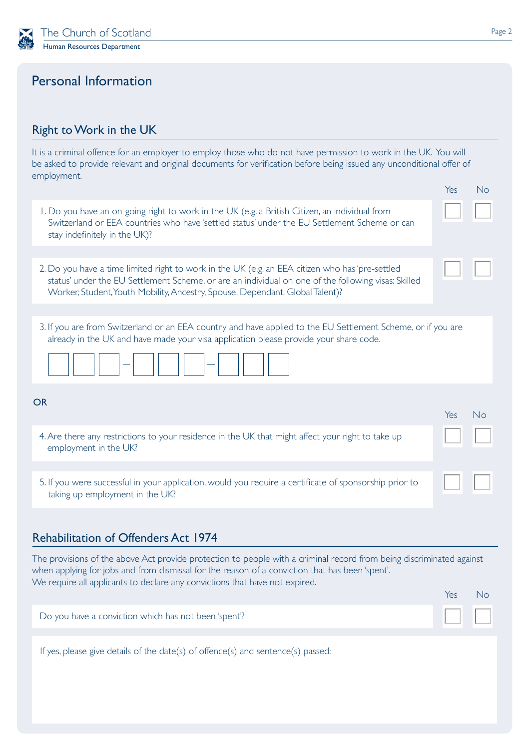

## Personal Information

### Right to Work in the UK

It is a criminal offence for an employer to employ those who do not have permission to work in the UK. You will be asked to provide relevant and original documents for verification before being issued any unconditional offer of employment.

|                                                                                                                                                                                                                                                                                                        | Yes | No |
|--------------------------------------------------------------------------------------------------------------------------------------------------------------------------------------------------------------------------------------------------------------------------------------------------------|-----|----|
| I. Do you have an on-going right to work in the UK (e.g. a British Citizen, an individual from<br>Switzerland or EEA countries who have 'settled status' under the EU Settlement Scheme or can<br>stay indefinitely in the UK)?                                                                        |     |    |
|                                                                                                                                                                                                                                                                                                        |     |    |
| 2. Do you have a time limited right to work in the UK (e.g. an EEA citizen who has 'pre-settled<br>status' under the EU Settlement Scheme, or are an individual on one of the following visas: Skilled<br>Worker, Student, Youth Mobility, Ancestry, Spouse, Dependant, Global Talent)?                |     |    |
|                                                                                                                                                                                                                                                                                                        |     |    |
| 3. If you are from Switzerland or an EEA country and have applied to the EU Settlement Scheme, or if you are<br>already in the UK and have made your visa application please provide your share code.                                                                                                  |     |    |
|                                                                                                                                                                                                                                                                                                        |     |    |
| <b>OR</b>                                                                                                                                                                                                                                                                                              |     |    |
|                                                                                                                                                                                                                                                                                                        | Yes | No |
| 4. Are there any restrictions to your residence in the UK that might affect your right to take up<br>employment in the UK?                                                                                                                                                                             |     |    |
|                                                                                                                                                                                                                                                                                                        |     |    |
| 5. If you were successful in your application, would you require a certificate of sponsorship prior to<br>taking up employment in the UK?                                                                                                                                                              |     |    |
|                                                                                                                                                                                                                                                                                                        |     |    |
|                                                                                                                                                                                                                                                                                                        |     |    |
| <b>Rehabilitation of Offenders Act 1974</b>                                                                                                                                                                                                                                                            |     |    |
| The provisions of the above Act provide protection to people with a criminal record from being discriminated against<br>when applying for jobs and from dismissal for the reason of a conviction that has been 'spent'.<br>We require all applicants to declare any convictions that have not expired. |     |    |
|                                                                                                                                                                                                                                                                                                        | Yes | No |
| Do you have a conviction which has not been 'spent'?                                                                                                                                                                                                                                                   |     |    |
|                                                                                                                                                                                                                                                                                                        |     |    |
| If yes, please give details of the date(s) of offence(s) and sentence(s) passed:                                                                                                                                                                                                                       |     |    |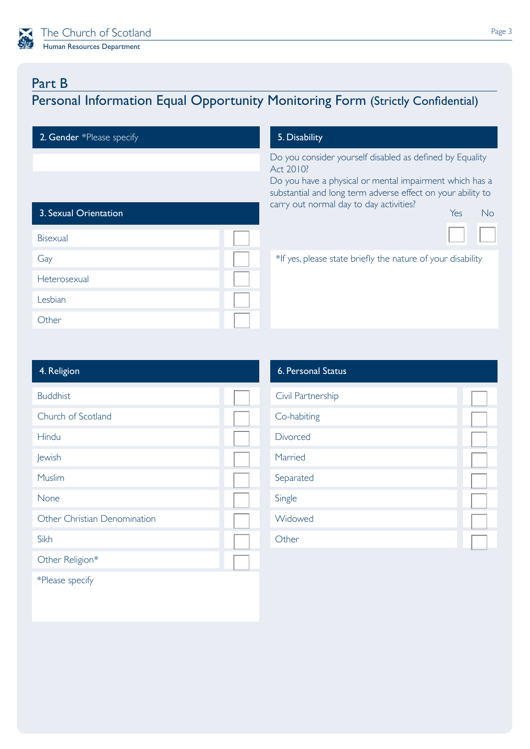

# Part B

# Personal Information Equal Opportunity Monitoring Form (Strictly Confidential)

2. Gender \*Please specify **5. Disability** 

Do you consider yourself disabled as defined by Equality Act 2010?

Do you have a physical or mental impairment which has a substantial and long term adverse effect on your ability to carry out normal day to day activities?

| 3. Sexual Orientation |  | $\overline{\phantom{a}}$<br><b>Yes</b><br>Nc                |
|-----------------------|--|-------------------------------------------------------------|
| Bisexual              |  |                                                             |
| Gay                   |  | *If yes, please state briefly the nature of your disability |
| Heterosexual          |  |                                                             |
| Lesbian               |  |                                                             |
| Other                 |  |                                                             |

| 4. Religion                  | 6. Personal Status |
|------------------------------|--------------------|
| <b>Buddhist</b>              | Civil Partnership  |
| Church of Scotland           | Co-habiting        |
| Hindu                        | Divorced           |
| Jewish                       | Married            |
| Muslim                       | Separated          |
| None                         | Single             |
| Other Christian Denomination | Widowed            |
| Sikh                         | Other              |
| Other Religion*              |                    |
| $\sim$<br>SMED 1             |                    |

| 6. Personal Status |  |
|--------------------|--|
| Civil Partnership  |  |
| Co-habiting        |  |
| Divorced           |  |
| Married            |  |
| Separated          |  |
| Single             |  |
| Widowed            |  |
| ther               |  |

\*Please specify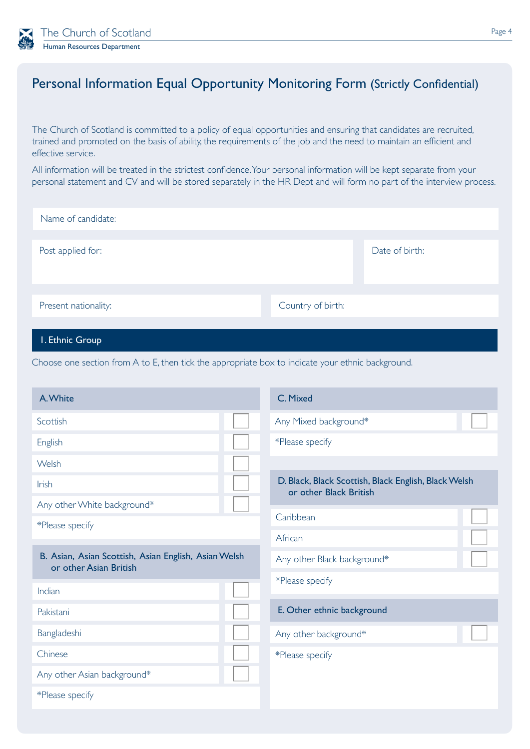

# Personal Information Equal Opportunity Monitoring Form (Strictly Confidential)

The Church of Scotland is committed to a policy of equal opportunities and ensuring that candidates are recruited, trained and promoted on the basis of ability, the requirements of the job and the need to maintain an efficient and effective service.

All information will be treated in the strictest confidence. Your personal information will be kept separate from your personal statement and CV and will be stored separately in the HR Dept and will form no part of the interview process.

| Name of candidate:   |                   |                |
|----------------------|-------------------|----------------|
| Post applied for:    |                   | Date of birth: |
| Present nationality: | Country of birth: |                |

#### 1. Ethnic Group

Choose one section from A to E, then tick the appropriate box to indicate your ethnic background.

| A. White                                                                       |  | C. Mixed                                                                       |  |
|--------------------------------------------------------------------------------|--|--------------------------------------------------------------------------------|--|
| Scottish                                                                       |  | Any Mixed background*                                                          |  |
| English                                                                        |  | *Please specify                                                                |  |
| Welsh                                                                          |  |                                                                                |  |
| <b>Irish</b>                                                                   |  | D. Black, Black Scottish, Black English, Black Welsh<br>or other Black British |  |
| Any other White background*                                                    |  |                                                                                |  |
| *Please specify                                                                |  | Caribbean                                                                      |  |
|                                                                                |  | African                                                                        |  |
| B. Asian, Asian Scottish, Asian English, Asian Welsh<br>or other Asian British |  | Any other Black background*                                                    |  |
| Indian                                                                         |  | *Please specify                                                                |  |
| Pakistani                                                                      |  | E. Other ethnic background                                                     |  |
| Bangladeshi                                                                    |  | Any other background*                                                          |  |
| Chinese                                                                        |  | *Please specify                                                                |  |
| Any other Asian background*                                                    |  |                                                                                |  |
| *Please specify                                                                |  |                                                                                |  |